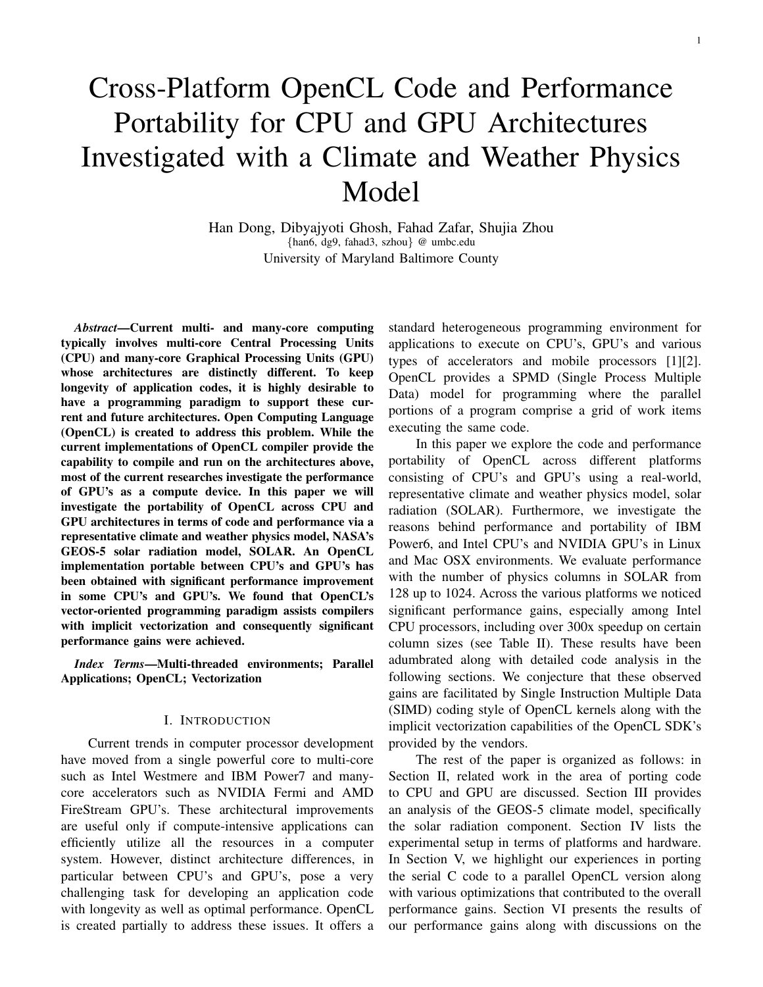# Cross-Platform OpenCL Code and Performance Portability for CPU and GPU Architectures Investigated with a Climate and Weather Physics Model

Han Dong, Dibyajyoti Ghosh, Fahad Zafar, Shujia Zhou {han6, dg9, fahad3, szhou} @ umbc.edu University of Maryland Baltimore County

*Abstract*—Current multi- and many-core computing typically involves multi-core Central Processing Units (CPU) and many-core Graphical Processing Units (GPU) whose architectures are distinctly different. To keep longevity of application codes, it is highly desirable to have a programming paradigm to support these current and future architectures. Open Computing Language (OpenCL) is created to address this problem. While the current implementations of OpenCL compiler provide the capability to compile and run on the architectures above, most of the current researches investigate the performance of GPU's as a compute device. In this paper we will investigate the portability of OpenCL across CPU and GPU architectures in terms of code and performance via a representative climate and weather physics model, NASA's GEOS-5 solar radiation model, SOLAR. An OpenCL implementation portable between CPU's and GPU's has been obtained with significant performance improvement in some CPU's and GPU's. We found that OpenCL's vector-oriented programming paradigm assists compilers with implicit vectorization and consequently significant performance gains were achieved.

*Index Terms*—Multi-threaded environments; Parallel Applications; OpenCL; Vectorization

### I. INTRODUCTION

Current trends in computer processor development have moved from a single powerful core to multi-core such as Intel Westmere and IBM Power7 and manycore accelerators such as NVIDIA Fermi and AMD FireStream GPU's. These architectural improvements are useful only if compute-intensive applications can efficiently utilize all the resources in a computer system. However, distinct architecture differences, in particular between CPU's and GPU's, pose a very challenging task for developing an application code with longevity as well as optimal performance. OpenCL is created partially to address these issues. It offers a standard heterogeneous programming environment for applications to execute on CPU's, GPU's and various types of accelerators and mobile processors [1][2]. OpenCL provides a SPMD (Single Process Multiple Data) model for programming where the parallel portions of a program comprise a grid of work items executing the same code.

In this paper we explore the code and performance portability of OpenCL across different platforms consisting of CPU's and GPU's using a real-world, representative climate and weather physics model, solar radiation (SOLAR). Furthermore, we investigate the reasons behind performance and portability of IBM Power6, and Intel CPU's and NVIDIA GPU's in Linux and Mac OSX environments. We evaluate performance with the number of physics columns in SOLAR from 128 up to 1024. Across the various platforms we noticed significant performance gains, especially among Intel CPU processors, including over 300x speedup on certain column sizes (see Table II). These results have been adumbrated along with detailed code analysis in the following sections. We conjecture that these observed gains are facilitated by Single Instruction Multiple Data (SIMD) coding style of OpenCL kernels along with the implicit vectorization capabilities of the OpenCL SDK's provided by the vendors.

The rest of the paper is organized as follows: in Section II, related work in the area of porting code to CPU and GPU are discussed. Section III provides an analysis of the GEOS-5 climate model, specifically the solar radiation component. Section IV lists the experimental setup in terms of platforms and hardware. In Section V, we highlight our experiences in porting the serial C code to a parallel OpenCL version along with various optimizations that contributed to the overall performance gains. Section VI presents the results of our performance gains along with discussions on the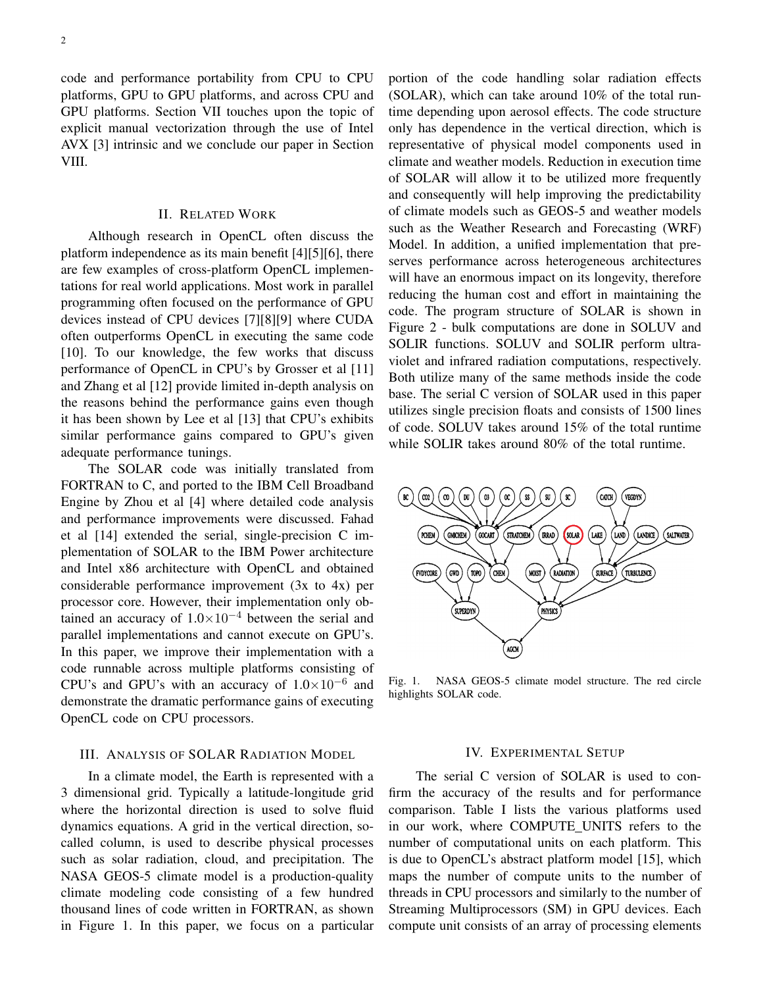code and performance portability from CPU to CPU platforms, GPU to GPU platforms, and across CPU and GPU platforms. Section VII touches upon the topic of explicit manual vectorization through the use of Intel AVX [3] intrinsic and we conclude our paper in Section VIII.

## II. RELATED WORK

Although research in OpenCL often discuss the platform independence as its main benefit [4][5][6], there are few examples of cross-platform OpenCL implementations for real world applications. Most work in parallel programming often focused on the performance of GPU devices instead of CPU devices [7][8][9] where CUDA often outperforms OpenCL in executing the same code [10]. To our knowledge, the few works that discuss performance of OpenCL in CPU's by Grosser et al [11] and Zhang et al [12] provide limited in-depth analysis on the reasons behind the performance gains even though it has been shown by Lee et al [13] that CPU's exhibits similar performance gains compared to GPU's given adequate performance tunings.

The SOLAR code was initially translated from FORTRAN to C, and ported to the IBM Cell Broadband Engine by Zhou et al [4] where detailed code analysis and performance improvements were discussed. Fahad et al [14] extended the serial, single-precision C implementation of SOLAR to the IBM Power architecture and Intel x86 architecture with OpenCL and obtained considerable performance improvement (3x to 4x) per processor core. However, their implementation only obtained an accuracy of  $1.0\times10^{-4}$  between the serial and parallel implementations and cannot execute on GPU's. In this paper, we improve their implementation with a code runnable across multiple platforms consisting of CPU's and GPU's with an accuracy of  $1.0 \times 10^{-6}$  and demonstrate the dramatic performance gains of executing OpenCL code on CPU processors.

# III. ANALYSIS OF SOLAR RADIATION MODEL

In a climate model, the Earth is represented with a 3 dimensional grid. Typically a latitude-longitude grid where the horizontal direction is used to solve fluid dynamics equations. A grid in the vertical direction, socalled column, is used to describe physical processes such as solar radiation, cloud, and precipitation. The NASA GEOS-5 climate model is a production-quality climate modeling code consisting of a few hundred thousand lines of code written in FORTRAN, as shown in Figure 1. In this paper, we focus on a particular portion of the code handling solar radiation effects (SOLAR), which can take around 10% of the total runtime depending upon aerosol effects. The code structure only has dependence in the vertical direction, which is representative of physical model components used in climate and weather models. Reduction in execution time of SOLAR will allow it to be utilized more frequently and consequently will help improving the predictability of climate models such as GEOS-5 and weather models such as the Weather Research and Forecasting (WRF) Model. In addition, a unified implementation that preserves performance across heterogeneous architectures will have an enormous impact on its longevity, therefore reducing the human cost and effort in maintaining the code. The program structure of SOLAR is shown in Figure 2 - bulk computations are done in SOLUV and SOLIR functions. SOLUV and SOLIR perform ultraviolet and infrared radiation computations, respectively. Both utilize many of the same methods inside the code base. The serial C version of SOLAR used in this paper utilizes single precision floats and consists of 1500 lines of code. SOLUV takes around 15% of the total runtime while SOLIR takes around 80% of the total runtime.



Fig. 1. NASA GEOS-5 climate model structure. The red circle highlights SOLAR code.

## IV. EXPERIMENTAL SETUP

The serial C version of SOLAR is used to confirm the accuracy of the results and for performance comparison. Table I lists the various platforms used in our work, where COMPUTE UNITS refers to the number of computational units on each platform. This is due to OpenCL's abstract platform model [15], which maps the number of compute units to the number of threads in CPU processors and similarly to the number of Streaming Multiprocessors (SM) in GPU devices. Each compute unit consists of an array of processing elements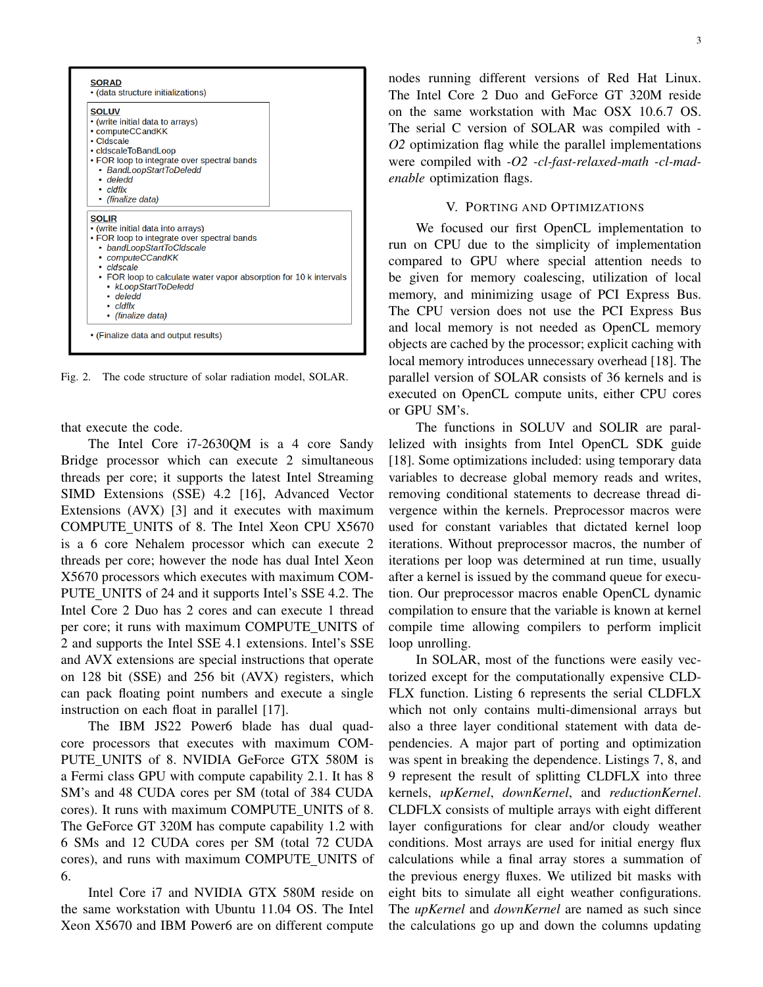

Fig. 2. The code structure of solar radiation model, SOLAR.

that execute the code.

The Intel Core i7-2630QM is a 4 core Sandy Bridge processor which can execute 2 simultaneous threads per core; it supports the latest Intel Streaming SIMD Extensions (SSE) 4.2 [16], Advanced Vector Extensions (AVX) [3] and it executes with maximum COMPUTE UNITS of 8. The Intel Xeon CPU X5670 is a 6 core Nehalem processor which can execute 2 threads per core; however the node has dual Intel Xeon X5670 processors which executes with maximum COM-PUTE UNITS of 24 and it supports Intel's SSE 4.2. The Intel Core 2 Duo has 2 cores and can execute 1 thread per core; it runs with maximum COMPUTE UNITS of 2 and supports the Intel SSE 4.1 extensions. Intel's SSE and AVX extensions are special instructions that operate on 128 bit (SSE) and 256 bit (AVX) registers, which can pack floating point numbers and execute a single instruction on each float in parallel [17].

The IBM JS22 Power6 blade has dual quadcore processors that executes with maximum COM-PUTE UNITS of 8. NVIDIA GeForce GTX 580M is a Fermi class GPU with compute capability 2.1. It has 8 SM's and 48 CUDA cores per SM (total of 384 CUDA cores). It runs with maximum COMPUTE UNITS of 8. The GeForce GT 320M has compute capability 1.2 with 6 SMs and 12 CUDA cores per SM (total 72 CUDA cores), and runs with maximum COMPUTE UNITS of 6.

Intel Core i7 and NVIDIA GTX 580M reside on the same workstation with Ubuntu 11.04 OS. The Intel Xeon X5670 and IBM Power6 are on different compute nodes running different versions of Red Hat Linux. The Intel Core 2 Duo and GeForce GT 320M reside on the same workstation with Mac OSX 10.6.7 OS. The serial C version of SOLAR was compiled with *- O2* optimization flag while the parallel implementations were compiled with *-O2 -cl-fast-relaxed-math -cl-madenable* optimization flags.

# V. PORTING AND OPTIMIZATIONS

We focused our first OpenCL implementation to run on CPU due to the simplicity of implementation compared to GPU where special attention needs to be given for memory coalescing, utilization of local memory, and minimizing usage of PCI Express Bus. The CPU version does not use the PCI Express Bus and local memory is not needed as OpenCL memory objects are cached by the processor; explicit caching with local memory introduces unnecessary overhead [18]. The parallel version of SOLAR consists of 36 kernels and is executed on OpenCL compute units, either CPU cores or GPU SM's.

The functions in SOLUV and SOLIR are parallelized with insights from Intel OpenCL SDK guide [18]. Some optimizations included: using temporary data variables to decrease global memory reads and writes, removing conditional statements to decrease thread divergence within the kernels. Preprocessor macros were used for constant variables that dictated kernel loop iterations. Without preprocessor macros, the number of iterations per loop was determined at run time, usually after a kernel is issued by the command queue for execution. Our preprocessor macros enable OpenCL dynamic compilation to ensure that the variable is known at kernel compile time allowing compilers to perform implicit loop unrolling.

In SOLAR, most of the functions were easily vectorized except for the computationally expensive CLD-FLX function. Listing 6 represents the serial CLDFLX which not only contains multi-dimensional arrays but also a three layer conditional statement with data dependencies. A major part of porting and optimization was spent in breaking the dependence. Listings 7, 8, and 9 represent the result of splitting CLDFLX into three kernels, *upKernel*, *downKernel*, and *reductionKernel*. CLDFLX consists of multiple arrays with eight different layer configurations for clear and/or cloudy weather conditions. Most arrays are used for initial energy flux calculations while a final array stores a summation of the previous energy fluxes. We utilized bit masks with eight bits to simulate all eight weather configurations. The *upKernel* and *downKernel* are named as such since the calculations go up and down the columns updating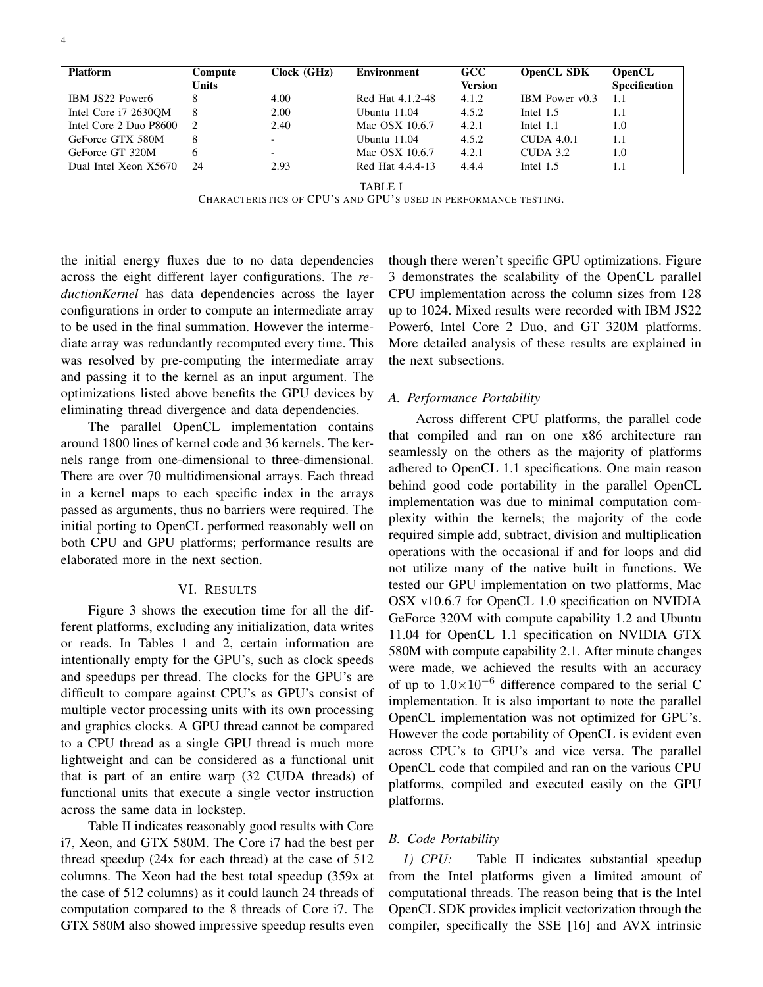| <b>Platform</b>        | Compute | Clock (GHz)              | Environment      | <b>GCC</b>     | <b>OpenCL SDK</b> | <b>OpenCL</b>        |
|------------------------|---------|--------------------------|------------------|----------------|-------------------|----------------------|
|                        | Units   |                          |                  | <b>Version</b> |                   | <b>Specification</b> |
| IBM JS22 Power6        |         | 4.00                     | Red Hat 4.1.2-48 | 4.1.2          | IBM Power v0.3    | 1.1                  |
| Intel Core i7 2630QM   |         | 2.00                     | Ubuntu $11.04$   | 4.5.2          | Intel 1.5         | 1.1                  |
| Intel Core 2 Duo P8600 |         | 2.40                     | Mac OSX 10.6.7   | 4.2.1          | Intel $1.1$       | 1.0                  |
| GeForce GTX 580M       |         | $\overline{\phantom{0}}$ | Ubuntu $11.04$   | 4.5.2          | $CUDA$ 4.0.1      | 1.1                  |
| GeForce GT 320M        |         | $\overline{\phantom{0}}$ | Mac OSX 10.6.7   | 4.2.1          | $CIDA$ 3.2        | 1.0                  |
| Dual Intel Xeon X5670  | 24      | 2.93                     | Red Hat 4.4.4-13 | 4.4.4          | Intel $1.5$       | 1.1                  |

TABLE I

CHARACTERISTICS OF CPU'S AND GPU'S USED IN PERFORMANCE TESTING.

the initial energy fluxes due to no data dependencies across the eight different layer configurations. The *reductionKernel* has data dependencies across the layer configurations in order to compute an intermediate array to be used in the final summation. However the intermediate array was redundantly recomputed every time. This was resolved by pre-computing the intermediate array and passing it to the kernel as an input argument. The optimizations listed above benefits the GPU devices by eliminating thread divergence and data dependencies.

The parallel OpenCL implementation contains around 1800 lines of kernel code and 36 kernels. The kernels range from one-dimensional to three-dimensional. There are over 70 multidimensional arrays. Each thread in a kernel maps to each specific index in the arrays passed as arguments, thus no barriers were required. The initial porting to OpenCL performed reasonably well on both CPU and GPU platforms; performance results are elaborated more in the next section.

# VI. RESULTS

Figure 3 shows the execution time for all the different platforms, excluding any initialization, data writes or reads. In Tables 1 and 2, certain information are intentionally empty for the GPU's, such as clock speeds and speedups per thread. The clocks for the GPU's are difficult to compare against CPU's as GPU's consist of multiple vector processing units with its own processing and graphics clocks. A GPU thread cannot be compared to a CPU thread as a single GPU thread is much more lightweight and can be considered as a functional unit that is part of an entire warp (32 CUDA threads) of functional units that execute a single vector instruction across the same data in lockstep.

Table II indicates reasonably good results with Core i7, Xeon, and GTX 580M. The Core i7 had the best per thread speedup (24x for each thread) at the case of 512 columns. The Xeon had the best total speedup (359x at the case of 512 columns) as it could launch 24 threads of computation compared to the 8 threads of Core i7. The GTX 580M also showed impressive speedup results even though there weren't specific GPU optimizations. Figure 3 demonstrates the scalability of the OpenCL parallel CPU implementation across the column sizes from 128 up to 1024. Mixed results were recorded with IBM JS22 Power6, Intel Core 2 Duo, and GT 320M platforms. More detailed analysis of these results are explained in the next subsections.

## *A. Performance Portability*

Across different CPU platforms, the parallel code that compiled and ran on one x86 architecture ran seamlessly on the others as the majority of platforms adhered to OpenCL 1.1 specifications. One main reason behind good code portability in the parallel OpenCL implementation was due to minimal computation complexity within the kernels; the majority of the code required simple add, subtract, division and multiplication operations with the occasional if and for loops and did not utilize many of the native built in functions. We tested our GPU implementation on two platforms, Mac OSX v10.6.7 for OpenCL 1.0 specification on NVIDIA GeForce 320M with compute capability 1.2 and Ubuntu 11.04 for OpenCL 1.1 specification on NVIDIA GTX 580M with compute capability 2.1. After minute changes were made, we achieved the results with an accuracy of up to  $1.0 \times 10^{-6}$  difference compared to the serial C implementation. It is also important to note the parallel OpenCL implementation was not optimized for GPU's. However the code portability of OpenCL is evident even across CPU's to GPU's and vice versa. The parallel OpenCL code that compiled and ran on the various CPU platforms, compiled and executed easily on the GPU platforms.

## *B. Code Portability*

*1) CPU:* Table II indicates substantial speedup from the Intel platforms given a limited amount of computational threads. The reason being that is the Intel OpenCL SDK provides implicit vectorization through the compiler, specifically the SSE [16] and AVX intrinsic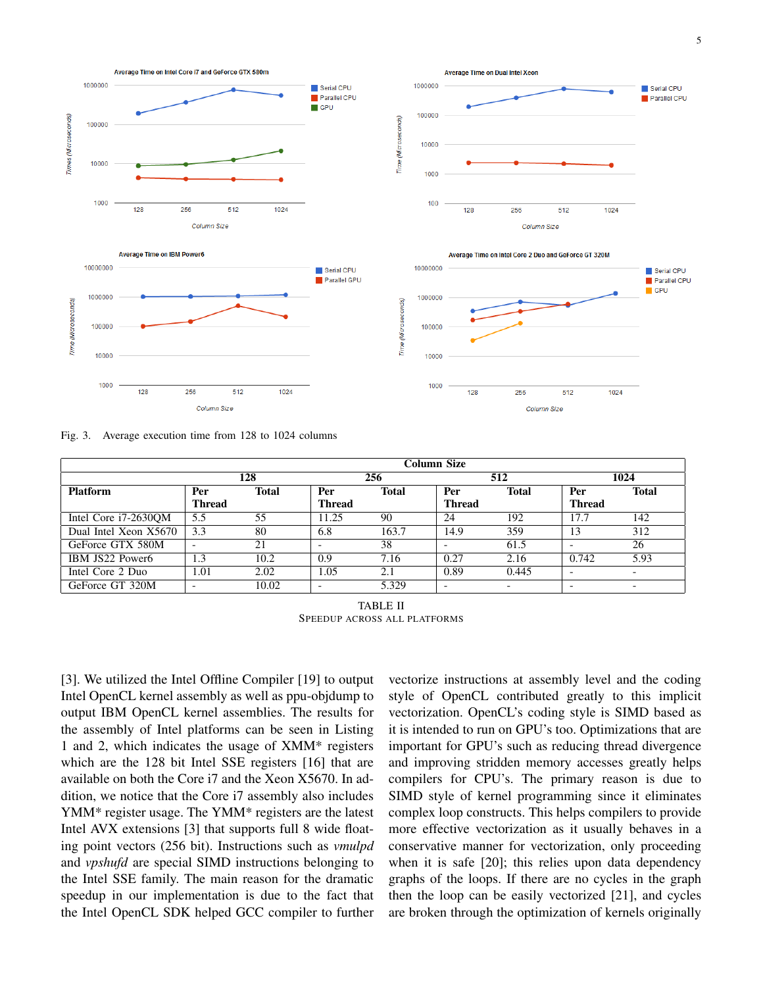

Fig. 3. Average execution time from 128 to 1024 columns

|                       | Column Size   |              |               |              |                          |              |               |                          |
|-----------------------|---------------|--------------|---------------|--------------|--------------------------|--------------|---------------|--------------------------|
|                       | 128           |              | 256           |              | 512                      |              | 1024          |                          |
| <b>Platform</b>       | Per           | <b>Total</b> | Per           | <b>Total</b> | Per                      | <b>Total</b> | Per           | <b>Total</b>             |
|                       | <b>Thread</b> |              | <b>Thread</b> |              | <b>Thread</b>            |              | <b>Thread</b> |                          |
| Intel Core i7-2630QM  | 5.5           | 55           | 1.25          | 90           | 24                       | 192          | 17.7          | 142                      |
| Dual Intel Xeon X5670 | 3.3           | 80           | 6.8           | 163.7        | 14.9                     | 359          | 13            | 312                      |
| GeForce GTX 580M      |               | 21           |               | 38           |                          | 61.5         |               | 26                       |
| IBM JS22 Power6       | 1.3           | 10.2         | 0.9           | 7.16         | 0.27                     | 2.16         | 0.742         | 5.93                     |
| Intel Core 2 Duo      | l.01          | 2.02         | 1.05          | 2.1          | 0.89                     | 0.445        |               | $\overline{\phantom{0}}$ |
| GeForce GT 320M       |               | 10.02        |               | 5.329        | $\overline{\phantom{0}}$ | -            | -             | $\overline{\phantom{0}}$ |

TABLE II SPEEDUP ACROSS ALL PLATFORMS

[3]. We utilized the Intel Offline Compiler [19] to output Intel OpenCL kernel assembly as well as ppu-objdump to output IBM OpenCL kernel assemblies. The results for the assembly of Intel platforms can be seen in Listing 1 and 2, which indicates the usage of XMM\* registers which are the 128 bit Intel SSE registers [16] that are available on both the Core i7 and the Xeon X5670. In addition, we notice that the Core i7 assembly also includes YMM\* register usage. The YMM\* registers are the latest Intel AVX extensions [3] that supports full 8 wide floating point vectors (256 bit). Instructions such as *vmulpd* and *vpshufd* are special SIMD instructions belonging to the Intel SSE family. The main reason for the dramatic speedup in our implementation is due to the fact that the Intel OpenCL SDK helped GCC compiler to further

vectorize instructions at assembly level and the coding style of OpenCL contributed greatly to this implicit vectorization. OpenCL's coding style is SIMD based as it is intended to run on GPU's too. Optimizations that are important for GPU's such as reducing thread divergence and improving stridden memory accesses greatly helps compilers for CPU's. The primary reason is due to SIMD style of kernel programming since it eliminates complex loop constructs. This helps compilers to provide more effective vectorization as it usually behaves in a conservative manner for vectorization, only proceeding when it is safe [20]; this relies upon data dependency graphs of the loops. If there are no cycles in the graph then the loop can be easily vectorized [21], and cycles are broken through the optimization of kernels originally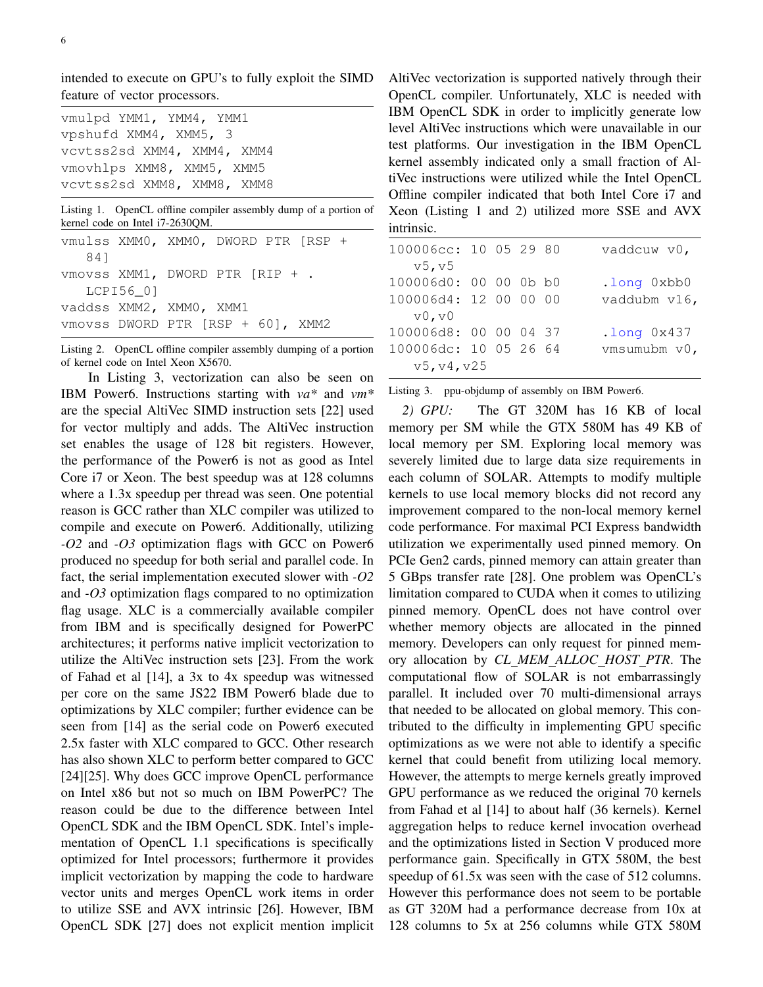intended to execute on GPU's to fully exploit the SIMD feature of vector processors.

| vmulpd YMM1, YMM4, YMM1    |
|----------------------------|
| vpshufd XMM4, XMM5, 3      |
| vcvtss2sd XMM4, XMM4, XMM4 |
| vmovhlps XMM8, XMM5, XMM5  |
| vcvtss2sd XMM8, XMM8, XMM8 |

Listing 1. OpenCL offline compiler assembly dump of a portion of kernel code on Intel i7-2630QM.

|  | vaddss XMM2, XMM0, XMM1 | vmulss XMM0, XMM0, DWORD PTR [RSP +<br>vmovss XMM1, DWORD PTR [RIP + .<br>vmovss DWORD PTR [RSP + 60], XMM2 |
|--|-------------------------|-------------------------------------------------------------------------------------------------------------|

Listing 2. OpenCL offline compiler assembly dumping of a portion of kernel code on Intel Xeon X5670.

In Listing 3, vectorization can also be seen on IBM Power6. Instructions starting with *va\** and *vm\** are the special AltiVec SIMD instruction sets [22] used for vector multiply and adds. The AltiVec instruction set enables the usage of 128 bit registers. However, the performance of the Power6 is not as good as Intel Core i7 or Xeon. The best speedup was at 128 columns where a 1.3x speedup per thread was seen. One potential reason is GCC rather than XLC compiler was utilized to compile and execute on Power6. Additionally, utilizing *-O2* and *-O3* optimization flags with GCC on Power6 produced no speedup for both serial and parallel code. In fact, the serial implementation executed slower with *-O2* and *-O3* optimization flags compared to no optimization flag usage. XLC is a commercially available compiler from IBM and is specifically designed for PowerPC architectures; it performs native implicit vectorization to utilize the AltiVec instruction sets [23]. From the work of Fahad et al [14], a 3x to 4x speedup was witnessed per core on the same JS22 IBM Power6 blade due to optimizations by XLC compiler; further evidence can be seen from [14] as the serial code on Power6 executed 2.5x faster with XLC compared to GCC. Other research has also shown XLC to perform better compared to GCC [24][25]. Why does GCC improve OpenCL performance on Intel x86 but not so much on IBM PowerPC? The reason could be due to the difference between Intel OpenCL SDK and the IBM OpenCL SDK. Intel's implementation of OpenCL 1.1 specifications is specifically optimized for Intel processors; furthermore it provides implicit vectorization by mapping the code to hardware vector units and merges OpenCL work items in order to utilize SSE and AVX intrinsic [26]. However, IBM OpenCL SDK [27] does not explicit mention implicit

AltiVec vectorization is supported natively through their OpenCL compiler. Unfortunately, XLC is needed with IBM OpenCL SDK in order to implicitly generate low level AltiVec instructions which were unavailable in our test platforms. Our investigation in the IBM OpenCL kernel assembly indicated only a small fraction of AltiVec instructions were utilized while the Intel OpenCL Offline compiler indicated that both Intel Core i7 and Xeon (Listing 1 and 2) utilized more SSE and AVX intrinsic.

| 100006cc: 10 05 29 80 |  |  | vaddcuw v0,      |
|-----------------------|--|--|------------------|
| v5, v5                |  |  |                  |
| 100006d0: 00 00 0b b0 |  |  | .long 0xbb0      |
| 100006d4: 12 00 00 00 |  |  | vaddubm v16,     |
| v0, v0                |  |  |                  |
| 100006d8: 00 00 04 37 |  |  | $.$ long $0x437$ |
| 100006dc: 10 05 26 64 |  |  | vmsumubm v0,     |
| v5, v4, v25           |  |  |                  |
|                       |  |  |                  |

Listing 3. ppu-objdump of assembly on IBM Power6.

*2) GPU:* The GT 320M has 16 KB of local memory per SM while the GTX 580M has 49 KB of local memory per SM. Exploring local memory was severely limited due to large data size requirements in each column of SOLAR. Attempts to modify multiple kernels to use local memory blocks did not record any improvement compared to the non-local memory kernel code performance. For maximal PCI Express bandwidth utilization we experimentally used pinned memory. On PCIe Gen2 cards, pinned memory can attain greater than 5 GBps transfer rate [28]. One problem was OpenCL's limitation compared to CUDA when it comes to utilizing pinned memory. OpenCL does not have control over whether memory objects are allocated in the pinned memory. Developers can only request for pinned memory allocation by *CL MEM ALLOC HOST PTR*. The computational flow of SOLAR is not embarrassingly parallel. It included over 70 multi-dimensional arrays that needed to be allocated on global memory. This contributed to the difficulty in implementing GPU specific optimizations as we were not able to identify a specific kernel that could benefit from utilizing local memory. However, the attempts to merge kernels greatly improved GPU performance as we reduced the original 70 kernels from Fahad et al [14] to about half (36 kernels). Kernel aggregation helps to reduce kernel invocation overhead and the optimizations listed in Section V produced more performance gain. Specifically in GTX 580M, the best speedup of 61.5x was seen with the case of 512 columns. However this performance does not seem to be portable as GT 320M had a performance decrease from 10x at 128 columns to 5x at 256 columns while GTX 580M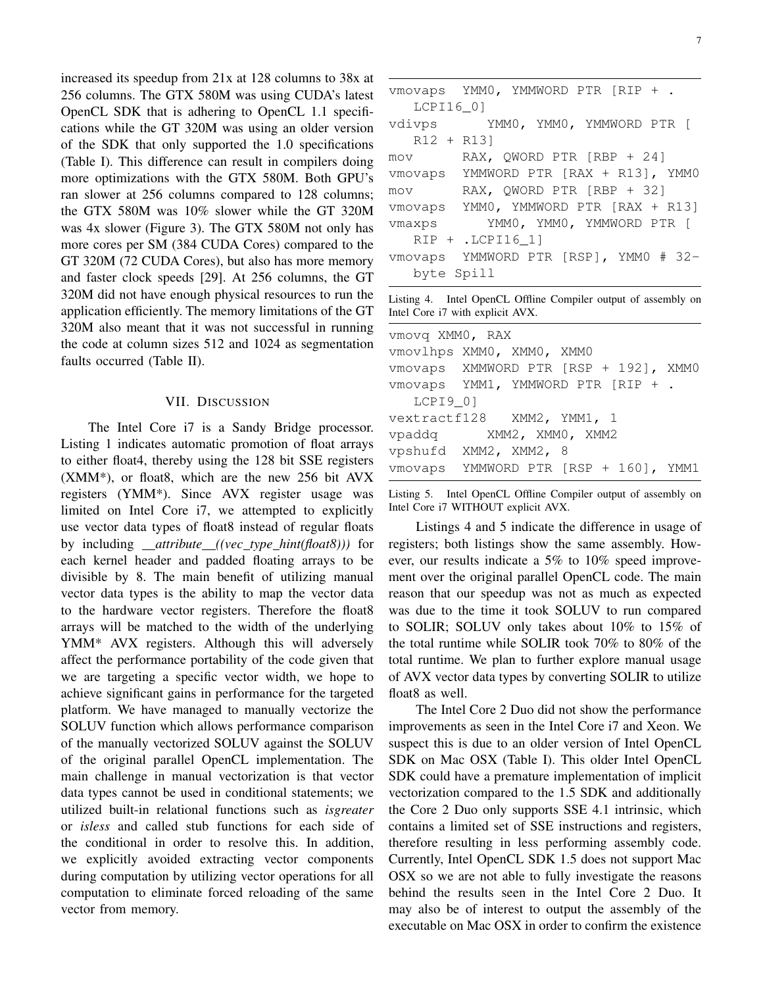increased its speedup from 21x at 128 columns to 38x at 256 columns. The GTX 580M was using CUDA's latest OpenCL SDK that is adhering to OpenCL 1.1 specifications while the GT 320M was using an older version of the SDK that only supported the 1.0 specifications (Table I). This difference can result in compilers doing more optimizations with the GTX 580M. Both GPU's ran slower at 256 columns compared to 128 columns; the GTX 580M was 10% slower while the GT 320M was 4x slower (Figure 3). The GTX 580M not only has more cores per SM (384 CUDA Cores) compared to the GT 320M (72 CUDA Cores), but also has more memory and faster clock speeds [29]. At 256 columns, the GT 320M did not have enough physical resources to run the application efficiently. The memory limitations of the GT 320M also meant that it was not successful in running the code at column sizes 512 and 1024 as segmentation faults occurred (Table II).

## VII. DISCUSSION

The Intel Core i7 is a Sandy Bridge processor. Listing 1 indicates automatic promotion of float arrays to either float4, thereby using the 128 bit SSE registers (XMM\*), or float8, which are the new 256 bit AVX registers (YMM\*). Since AVX register usage was limited on Intel Core i7, we attempted to explicitly use vector data types of float8 instead of regular floats by including *attribute ((vec type hint(float8)))* for each kernel header and padded floating arrays to be divisible by 8. The main benefit of utilizing manual vector data types is the ability to map the vector data to the hardware vector registers. Therefore the float8 arrays will be matched to the width of the underlying YMM\* AVX registers. Although this will adversely affect the performance portability of the code given that we are targeting a specific vector width, we hope to achieve significant gains in performance for the targeted platform. We have managed to manually vectorize the SOLUV function which allows performance comparison of the manually vectorized SOLUV against the SOLUV of the original parallel OpenCL implementation. The main challenge in manual vectorization is that vector data types cannot be used in conditional statements; we utilized built-in relational functions such as *isgreater* or *isless* and called stub functions for each side of the conditional in order to resolve this. In addition, we explicitly avoided extracting vector components during computation by utilizing vector operations for all computation to eliminate forced reloading of the same vector from memory.

|              | vmovaps YMM0, YMMWORD PTR [RIP + .    |
|--------------|---------------------------------------|
| LCPI16 01    |                                       |
|              | vdivps YMM0, YMM0, YMMWORD PTR [      |
| $R12 + R131$ |                                       |
| mov          | RAX, OWORD PTR $[RBP + 24]$           |
|              | vmovaps YMMWORD PTR [RAX + R13], YMM0 |
| mov          | RAX, QWORD PTR [RBP + 32]             |
|              | vmovaps YMM0, YMMWORD PTR [RAX + R13] |
| vmaxps       | YMMO, YMMO, YMMWORD PTR [             |
|              | $RIP + .LCPI16 11$                    |
|              | vmovaps YMMWORD PTR [RSP], YMM0 # 32- |
| byte Spill   |                                       |

Listing 4. Intel OpenCL Offline Compiler output of assembly on Intel Core i7 with explicit AVX.

| vmovg XMM0, RAX                       |  |  |  |
|---------------------------------------|--|--|--|
| vmovlhps XMM0, XMM0, XMM0             |  |  |  |
| vmovaps XMMWORD PTR [RSP + 192], XMM0 |  |  |  |
| vmovaps YMM1, YMMWORD PTR [RIP + .    |  |  |  |
| LCPI9 0]                              |  |  |  |
| vextractf128 XMM2, YMM1, 1            |  |  |  |
| vpaddq XMM2, XMM0, XMM2               |  |  |  |
| vpshufd XMM2, XMM2, 8                 |  |  |  |
| vmovaps YMMWORD PTR [RSP + 160], YMM1 |  |  |  |
|                                       |  |  |  |

Listing 5. Intel OpenCL Offline Compiler output of assembly on Intel Core i7 WITHOUT explicit AVX.

Listings 4 and 5 indicate the difference in usage of registers; both listings show the same assembly. However, our results indicate a 5% to 10% speed improvement over the original parallel OpenCL code. The main reason that our speedup was not as much as expected was due to the time it took SOLUV to run compared to SOLIR; SOLUV only takes about 10% to 15% of the total runtime while SOLIR took 70% to 80% of the total runtime. We plan to further explore manual usage of AVX vector data types by converting SOLIR to utilize float8 as well.

The Intel Core 2 Duo did not show the performance improvements as seen in the Intel Core i7 and Xeon. We suspect this is due to an older version of Intel OpenCL SDK on Mac OSX (Table I). This older Intel OpenCL SDK could have a premature implementation of implicit vectorization compared to the 1.5 SDK and additionally the Core 2 Duo only supports SSE 4.1 intrinsic, which contains a limited set of SSE instructions and registers, therefore resulting in less performing assembly code. Currently, Intel OpenCL SDK 1.5 does not support Mac OSX so we are not able to fully investigate the reasons behind the results seen in the Intel Core 2 Duo. It may also be of interest to output the assembly of the executable on Mac OSX in order to confirm the existence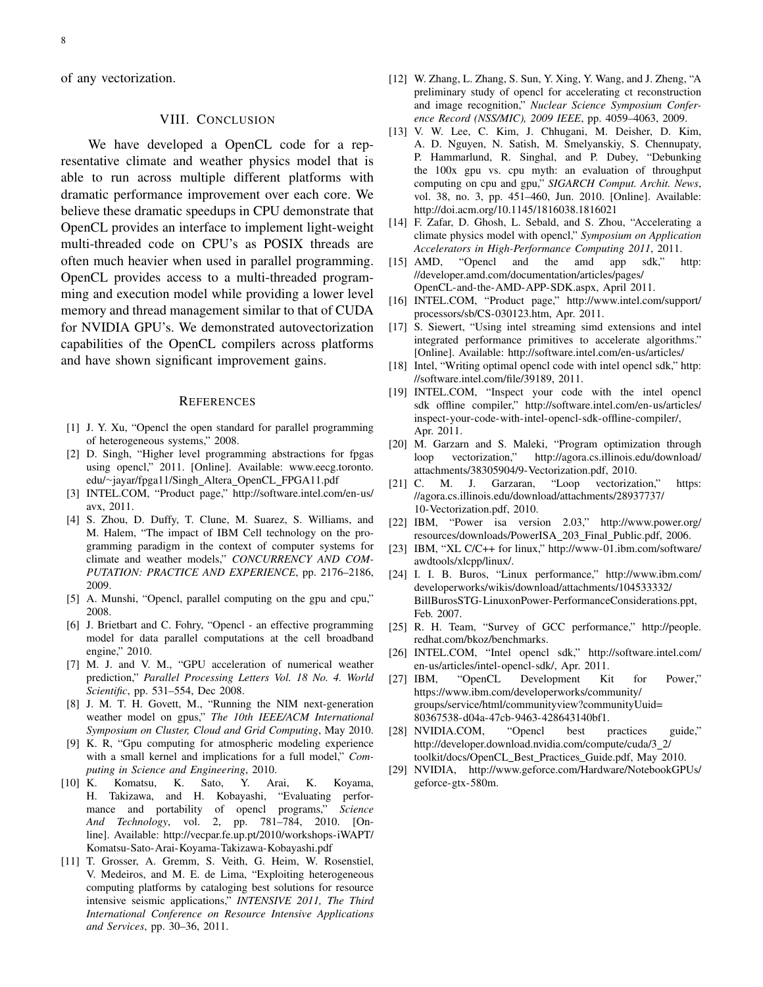of any vectorization.

# VIII. CONCLUSION

We have developed a OpenCL code for a representative climate and weather physics model that is able to run across multiple different platforms with dramatic performance improvement over each core. We believe these dramatic speedups in CPU demonstrate that OpenCL provides an interface to implement light-weight multi-threaded code on CPU's as POSIX threads are often much heavier when used in parallel programming. OpenCL provides access to a multi-threaded programming and execution model while providing a lower level memory and thread management similar to that of CUDA for NVIDIA GPU's. We demonstrated autovectorization capabilities of the OpenCL compilers across platforms and have shown significant improvement gains.

#### **REFERENCES**

- [1] J. Y. Xu, "Opencl the open standard for parallel programming of heterogeneous systems," 2008.
- [2] D. Singh, "Higher level programming abstractions for fpgas using opencl," 2011. [Online]. Available: www.eecg.toronto. edu/∼jayar/fpga11/Singh Altera OpenCL FPGA11.pdf
- [3] INTEL.COM, "Product page," http://software.intel.com/en-us/ avx, 2011.
- [4] S. Zhou, D. Duffy, T. Clune, M. Suarez, S. Williams, and M. Halem, "The impact of IBM Cell technology on the programming paradigm in the context of computer systems for climate and weather models," *CONCURRENCY AND COM-PUTATION: PRACTICE AND EXPERIENCE*, pp. 2176–2186, 2009.
- [5] A. Munshi, "Opencl, parallel computing on the gpu and cpu," 2008.
- [6] J. Brietbart and C. Fohry, "Opencl an effective programming model for data parallel computations at the cell broadband engine," 2010.
- [7] M. J. and V. M., "GPU acceleration of numerical weather prediction," *Parallel Processing Letters Vol. 18 No. 4. World Scientific*, pp. 531–554, Dec 2008.
- [8] J. M. T. H. Govett, M., "Running the NIM next-generation weather model on gpus," *The 10th IEEE/ACM International Symposium on Cluster, Cloud and Grid Computing*, May 2010.
- [9] K. R, "Gpu computing for atmospheric modeling experience with a small kernel and implications for a full model," *Computing in Science and Engineering*, 2010.
- [10] K. Komatsu, K. Sato, Y. Arai, K. Koyama, H. Takizawa, and H. Kobayashi, "Evaluating performance and portability of opencl programs," *Science And Technology*, vol. 2, pp. 781–784, 2010. [Online]. Available: http://vecpar.fe.up.pt/2010/workshops-iWAPT/ Komatsu-Sato-Arai-Koyama-Takizawa-Kobayashi.pdf
- [11] T. Grosser, A. Gremm, S. Veith, G. Heim, W. Rosenstiel, V. Medeiros, and M. E. de Lima, "Exploiting heterogeneous computing platforms by cataloging best solutions for resource intensive seismic applications," *INTENSIVE 2011, The Third International Conference on Resource Intensive Applications and Services*, pp. 30–36, 2011.
- [12] W. Zhang, L. Zhang, S. Sun, Y. Xing, Y. Wang, and J. Zheng, "A preliminary study of opencl for accelerating ct reconstruction and image recognition," *Nuclear Science Symposium Conference Record (NSS/MIC), 2009 IEEE*, pp. 4059–4063, 2009.
- [13] V. W. Lee, C. Kim, J. Chhugani, M. Deisher, D. Kim, A. D. Nguyen, N. Satish, M. Smelyanskiy, S. Chennupaty, P. Hammarlund, R. Singhal, and P. Dubey, "Debunking the 100x gpu vs. cpu myth: an evaluation of throughput computing on cpu and gpu," *SIGARCH Comput. Archit. News*, vol. 38, no. 3, pp. 451–460, Jun. 2010. [Online]. Available: http://doi.acm.org/10.1145/1816038.1816021
- [14] F. Zafar, D. Ghosh, L. Sebald, and S. Zhou, "Accelerating a climate physics model with opencl," *Symposium on Application Accelerators in High-Performance Computing 2011*, 2011.
- [15] AMD, "Opencl and the amd app sdk," http: //developer.amd.com/documentation/articles/pages/ OpenCL-and-the-AMD-APP-SDK.aspx, April 2011.
- [16] INTEL.COM, "Product page," http://www.intel.com/support/ processors/sb/CS-030123.htm, Apr. 2011.
- [17] S. Siewert, "Using intel streaming simd extensions and intel integrated performance primitives to accelerate algorithms." [Online]. Available: http://software.intel.com/en-us/articles/
- [18] Intel, "Writing optimal opencl code with intel opencl sdk," http: //software.intel.com/file/39189, 2011.
- [19] INTEL.COM, "Inspect your code with the intel opencl sdk offline compiler," http://software.intel.com/en-us/articles/ inspect-your-code-with-intel-opencl-sdk-offline-compiler/, Apr. 2011.
- [20] M. Garzarn and S. Maleki, "Program optimization through loop vectorization," http://agora.cs.illinois.edu/download/ attachments/38305904/9-Vectorization.pdf, 2010.
- [21] C. M. J. Garzaran, "Loop vectorization," https: //agora.cs.illinois.edu/download/attachments/28937737/ 10-Vectorization.pdf, 2010.
- [22] IBM, "Power isa version 2.03," http://www.power.org/ resources/downloads/PowerISA 203 Final Public.pdf, 2006.
- [23] IBM, "XL C/C++ for linux," http://www-01.ibm.com/software/ awdtools/xlcpp/linux/.
- [24] I. I. B. Buros, "Linux performance," http://www.ibm.com/ developerworks/wikis/download/attachments/104533332/ BillBurosSTG-LinuxonPower-PerformanceConsiderations.ppt, Feb. 2007.
- [25] R. H. Team, "Survey of GCC performance," http://people. redhat.com/bkoz/benchmarks.
- [26] INTEL.COM, "Intel opencl sdk," http://software.intel.com/ en-us/articles/intel-opencl-sdk/, Apr. 2011.<br>[27] IBM, "OpenCL Development Ki
- Development Kit for Power," https://www.ibm.com/developerworks/community/ groups/service/html/communityview?communityUuid= 80367538-d04a-47cb-9463-428643140bf1.
- [28] NVIDIA.COM, "Opencl best practices guide," http://developer.download.nvidia.com/compute/cuda/3 2/ toolkit/docs/OpenCL Best Practices Guide.pdf, May 2010.
- [29] NVIDIA, http://www.geforce.com/Hardware/NotebookGPUs/ geforce-gtx-580m.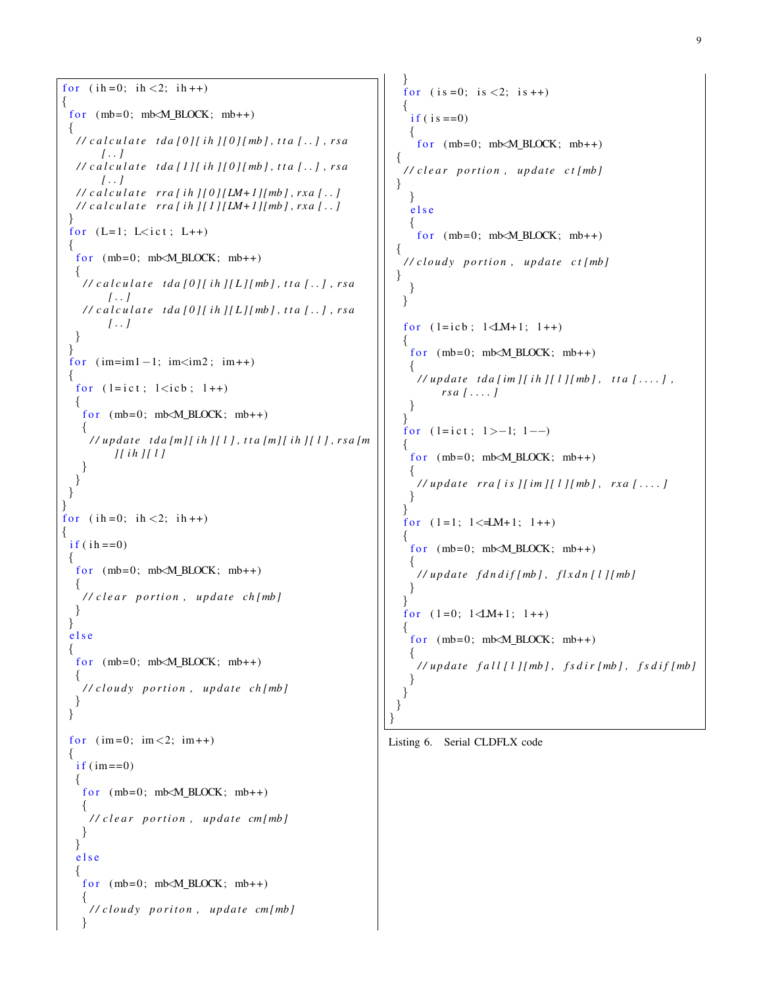```
for (i h = 0; i h < 2; i h++)\left\{ \right.for (mb=0; mb\angle M_BLOCK; mb++){
   \frac{1}{\sqrt{2}} calculate tda [0][ih][0][mb], tta [..], rsa
           [ . . ]
   / / c a l c u l a t e t d a [ 1 ] [ i h ] [ 0 ] [ mb ] , t t a [ . . ] , r s a
           [ . . ]
   \frac{1}{\sqrt{2}} calculate rra[ih][0][LM+1][mb], rxa[..]
   \frac{1}{\cosh(1 + \cosh(1 + \cosh(1 + \cosh(1 + \cosh(1 + \cosh(1 + \cosh(1 + \cosh(1 + \cosh(1 + \cosh(1 + \cosh(1 + \cosh(1 + \cosh(1 + \cosh(1 + \cosh(1 + \cosh(1 + \cosh(1 + \cosh(1 + \cosh(1 + \cosh(1 + \cosh(1 + \cosh(1 + \cosh(1 + \cosh(1 + \cosh(1 + \cosh(1 + \cosh(1 + \cosh(1 + \cosh(1 + \cosh(1 + \cosh(1 + \cosh(1 + \cosh(1 + \cosh(1 + \cosh(1 + \cosh(1}
  for (L=1; L<\text{ict}; L++){
   for (mb=0; mb\angle M_BLOCK; mb++){
      \frac{1}{\sqrt{2}} calculate tda [0][ih][L][mb], tta [..], rsa
            [ . . ]
     \frac{1}{\sqrt{2}} calculate tda [0][ih][L][mb], tta [..], rsa
            [ . . ]
   }
  }
  for (im=im1-1; im<im2; im++{
   for (l = ict; l < icb; l++){
     for (mb=0; mb\angle M \text{ BLOCK}; mb++)\left\{ \right./ / u p d at e t d a [m] [ i h ] [ l ] , t t a [m] [ i h ] [ l ] , r s a [m
              ] [ i h ] [ l ]
     }
   }
 }
}
for (i h = 0; i h < 2; i h++){
  if (ih == 0)1
   for (mb=0; mb\angle M_BLOCK; m b++){
      / / c l e a r p o r t i o n , u p d at e ch [mb ]
   }
 }
  e l s e
  {
   for (mb=0; mb\angle M \text{ BLOCK}; mb++){
     / / cl o u d y p o r t i o n , u p d at e ch [mb ]
   }
 }
  for (im=0; im<2; im++){
   if (im == 0){
     for (mb=0; mb\angle M_BLOCK; m+b+){
       / / c l e a r p o r t i o n , u p d at e cm [mb ]
     }
   }
   e l s e
    {
     for (mb=0; mb< M_BLOCK; mb++){
       / / cl o u d y p o r i t o n , u p d at e cm [mb ]
      }
```

```
}
  for (i s = 0; i s < 2; i s++){
   if ( is ==0)\mathbf{A}for (mb=0; mb<sub>M_BLOCK</sub>; mb++){
  / / c l e a r p o r t i o n , u p d at e c t [mb ]
}
   }
   e l s e
   {
     for (mb=0; mb\angle M \text{ BLOCK}; mb++){
  / / cl o u d y p o r t i o n , u p d at e c t [mb ]
}
   }
 }
 for (l = icb; l \triangleleft M+1; l++){
   for (mb=0; mb\angle M_BLOCK; mb++){
     \frac{1}{\sqrt{u}} // update tda [im ] [ ih ] [ l ] [ mb ], tta [...],
          r s a [ . . . . ]
   }
 }
 for (l = 0; l > -1; l - )\left\{ \right.for (mb=0; mb\angle M \text{ BLOCK}; mb++){
     \frac{1}{\sqrt{2}} // update rra[is][im][l][mb], rxa[...]
   }
  }
 for (l=1; l < \pm M+1; l++){
   for (mb=0; mb< M_BLOCK; mb++){
     / / u p d at e f d n d i f [mb ] , f l x d n [ l ] [ mb ]
   }
  }
 for (1=0; 1\le M+1; 1++){
   for (mb=0; mb\angle M \text{ BLOCK}; mb++){
     \frac{1}{\sqrt{u}} // update fall [l] [mb], fsdir [mb], fsdif [mb]
   }
  }
}
```

```
Listing 6. Serial CLDFLX code
```
}